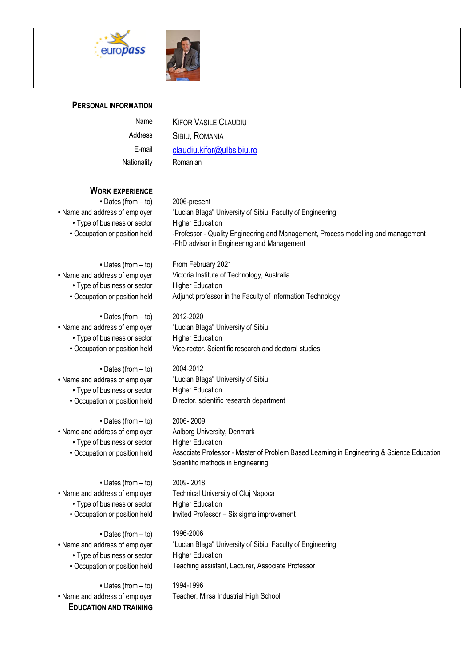



## **PERSONAL INFORMATION**

Nationality Romanian

Name KIFOR VASILE CLAUDIU Address SIBIU, ROMANIA E-mail [claudiu.kifor@ulbsibiu.ro](http://webmail.ulbsibiu.ro/mail/?_task=addressbook&_action=show&_source=0&_cid=2035&_framed=1#compose)

## **WORK EXPERIENCE**

**•** Dates (from – to) 2006-present • Type of business or sector Higher Education

• Type of business or sector Higher Education

**•** Dates (from – to) 2012-2020 • Type of business or sector Higher Education

**•** Dates (from – to) 2004-2012 • Type of business or sector Higher Education

**•** Dates (from – to) 2006- 2009 **•** Name and address of employer Aalborg University, Denmark • Type of business or sector Higher Education

• Dates (from – to) 2009- 2018 • Type of business or sector Higher Education

**•** Dates (from – to) 1996-2006 • Type of business or sector Higher Education

**•** Dates (from – to) 1994-1996 **EDUCATION AND TRAINING**

**•** Name and address of employer "Lucian Blaga" University of Sibiu, Faculty of Engineering • Occupation or position held -Professor - Quality Engineering and Management, Process modelling and management -PhD advisor in Engineering and Management

• Dates (from – to) From February 2021 **•** Name and address of employer Victoria Institute of Technology, Australia • Occupation or position held Adjunct professor in the Faculty of Information Technology

**•** Name and address of employer "Lucian Blaga" University of Sibiu **•** Occupation or position held Vice-rector. Scientific research and doctoral studies

**•** Name and address of employer "Lucian Blaga" University of Sibiu **•** Occupation or position held Director, scientific research department

**•** Occupation or position held Associate Professor - Master of Problem Based Learning in Engineering & Science Education Scientific methods in Engineering

• Name and address of employer Technical University of Cluj Napoca • Occupation or position held Invited Professor – Six sigma improvement

**•** Name and address of employer "Lucian Blaga" University of Sibiu, Faculty of Engineering **•** Occupation or position held Teaching assistant, Lecturer, Associate Professor

**•** Name and address of employer Teacher, Mirsa Industrial High School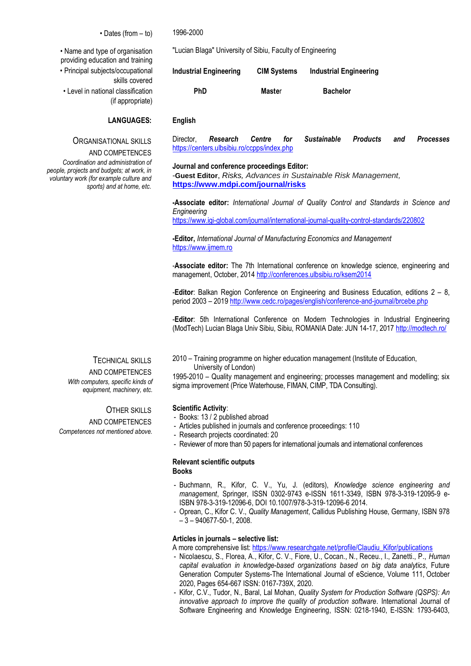• Dates (from – to) 1996-2000

• Name and type of organisation providing education and training • Principal subjects/occupational skills covered • Level in national classification

(if appropriate)

## **LANGUAGES: English**

# ORGANISATIONAL SKILLS

AND COMPETENCES

*Coordination and administration of people, projects and budgets; at work, in voluntary work (for example culture and sports) and at home, etc.*

## TECHNICAL SKILLS

AND COMPETENCES *With computers, specific kinds of equipment, machinery, etc.*

OTHER SKILLS AND COMPETENCES *Competences not mentioned above.*

"Lucian Blaga" University of Sibiu, Faculty of Engineering

| Industrial Engineering | <b>CIM Systems</b> | Industrial Engineering |
|------------------------|--------------------|------------------------|
| <b>PhD</b>             | <b>Master</b>      | <b>Bachelor</b>        |

Director, *Research Centre for Sustainable Products and Processes* <https://centers.ulbsibiu.ro/ccpps/index.php>

#### **Journal and conference proceedings Editor:**

-**Guest Editor**, *Risks, Advances in Sustainable Risk Management,* **<https://www.mdpi.com/journal/risks>**

**-Associate editor:** *International Journal of Quality Control and Standards in Science and Engineering*

<https://www.igi-global.com/journal/international-journal-quality-control-standards/220802>

**-Editor,** *International Journal of Manufacturing Economics and Management* [https://www.ijmem.ro](https://www.ijmem.ro/)

-**Associate editor:** The 7th International conference on knowledge science, engineering and management, October, 201[4 http://conferences.ulbsibiu.ro/ksem2014](http://conferences.ulbsibiu.ro/ksem2014)

-**Editor**: Balkan Region Conference on Engineering and Business Education, editions 2 – 8, period 2003 – 2019<http://www.cedc.ro/pages/english/conference-and-journal/brcebe.php>

-**Editor**: 5th International Conference on Modern Technologies in Industrial Engineering (ModTech) Lucian Blaga Univ Sibiu, Sibiu, ROMANIA Date: JUN 14-17, 201[7 http://modtech.ro/](http://modtech.ro/) 

2010 – Training programme on higher education management (Institute of Education, University of London)

1995-2010 – Quality management and engineering; processes management and modelling; six sigma improvement (Price Waterhouse, FIMAN, CIMP, TDA Consulting).

#### **Scientific Activity**:

- Books: 13 / 2 published abroad
- Articles published in journals and conference proceedings: 110
- Research projects coordinated: 20
- Reviewer of more than 50 papers for international journals and international conferences

# **Relevant scientific outputs**

**Books**

- Buchmann, R., Kifor, C. V., Yu, J. (editors), *Knowledge science engineering and management*, Springer, ISSN 0302-9743 e-ISSN 1611-3349, ISBN 978-3-319-12095-9 e-ISBN 978-3-319-12096-6, DOI 10.1007/978-3-319-12096-6 2014.
- Oprean, C., Kifor C. V., *Quality Management*, Callidus Publishing House, Germany, ISBN 978 – 3 – 940677-50-1, 2008.

#### **Articles in journals – selective list:**

A more comprehensive list: [https://www.researchgate.net/profile/Claudiu\\_Kifor/publications](https://www.researchgate.net/profile/Claudiu_Kifor/publications)

- Nicolaescu, S., Florea, A., Kifor, C. V., Fiore, U., Cocan., N., Receu., I., Zanetti., P., *Human capital evaluation in knowledge-based organizations based on big data analytics*, Future Generation Computer Systems-The International Journal of eScience, Volume 111, October 2020, Pages 654-667 ISSN: 0167-739X, 2020.
- Kifor, C.V., Tudor, N., Baral, Lal Mohan, *Quality System for Production Software (QSPS): An innovative approach to improve the quality of production software*. International Journal of Software Engineering and Knowledge Engineering, ISSN: 0218-1940, E-ISSN: 1793-6403,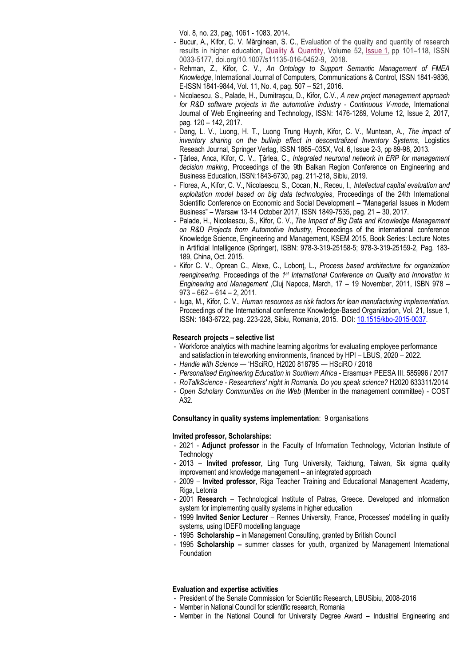Vol. 8, no. 23, pag, 1061 - 1083, 2014**.**

- Bucur, A., Kifor, C. V. Mărginean, S. C., Evaluation of the quality and quantity of research results in higher education**,** [Quality & Quantity,](https://link.springer.com/journal/11135) Volume 52, [Issue](https://link.springer.com/journal/11135/52/1/page/1) 1, pp 101–118, ISSN 0033-5177, doi.org/10.1007/s11135-016-0452-9, 2018.
- Rehman, Z., Kifor, C. V., *An Ontology to Support Semantic Management of FMEA Knowledge*, International Journal of Computers, Communications & Control, ISSN 1841-9836, E-ISSN 1841-9844, Vol. 11, No. 4, pag. 507 – 521, 2016.
- Nicolaescu, S., Palade, H., Dumitraşcu, D., Kifor, C.V., *A new project management approach for R&D software projects in the automotive industry - Continuous V-mode*, International Journal of Web Engineering and Technology, ISSN: 1476-1289*,* Volume 12, Issue 2, 2017, pag. 120 – 142, 2017.
- Dang, L. V., Luong, H. T., Luong Trung Huynh, Kifor, C. V., Muntean, A., *The impact of inventory sharing on the bullwip effect in descentralized Inventory Systems*, Logistics Reseach Journal, Springer Verlag, ISSN 1865–035X, Vol. 6, Issue 2-3, pp 89-98, 2013.
- Ţârlea, Anca, Kifor, C. V., Ţârlea, C., *Integrated neuronal network in ERP for management decision making*, Proceedings of the 9th Balkan Region Conference on Engineering and Business Education, ISSN:1843-6730*,* pag. 211-218, Sibiu, 2019.
- Florea, A., Kifor, C. V., Nicolaescu, S., Cocan, N., Receu, I., *Intellectual capital evaluation and exploitation model based on big data technologies*, Proceedings of the 24th International Scientific Conference on Economic and Social Development – "Managerial Issues in Modern Business" – Warsaw 13-14 October 2017, ISSN 1849-7535, pag. 21 – 30, 2017.
- Palade, H., Nicolaescu, S., Kifor, C. V., *The Impact of Big Data and Knowledge Management on R&D Projects from Automotive Industry*, Proceedings of the international conference Knowledge Science, Engineering and Management, KSEM 2015, Book Series: Lecture Notes in Artificial Intelligence (Springer), ISBN: 978-3-319-25158-5; 978-3-319-25159-2, Pag. 183- 189, China, Oct. 2015.
- Kifor C. V., Oprean C., Alexe, C., Lobonţ, L., *Process based architecture for organization*  reengineering. Proceedings of the 1<sup>st</sup> International Conference on Quality and Innovation in *Engineering and Management* ,Cluj Napoca, March, 17 – 19 November, 2011, ISBN 978 –  $973 - 662 - 614 - 2$ , 2011.
- Iuga, M., Kifor, C. V., *Human resources as risk factors for lean manufacturing implementation.*  Proceedings of the International conference Knowledge-Based Organization, Vol. 21, Issue 1, ISSN: 1843-6722, pag. 223-228, Sibiu, Romania, 2015. DOI: [10.1515/kbo-2015-0037.](http://dx.doi.org/10.1515/kbo-2015-0037)

#### **Research projects – selective list**

- Workforce analytics with machine learning algoritms for evaluating employee performance and satisfaction in teleworking environments, financed by HPI – LBUS, 2020 – 2022.
- *Handle with Science* 'HSciRO, H2020 818795 HSciRO / 2018
- *Personalised Engineering Education in Southern Africa* Erasmus+ PEESA III. 585996 / 2017
- *RoTalkScience - Researchers' night in Romania. Do you speak science?* H2020 633311/2014
- *Open Scholary Communities on the Web* (Member in the management committee) COST A32.

**Consultancy in quality systems implementation**: 9 organisations

#### **Invited professor, Scholarships:**

- 2021 **Adjunct professor** in the Faculty of Information Technology, Victorian Institute of **Technology**
- 2013 **Invited professor**, Ling Tung University, Taichung, Taiwan, Six sigma quality improvement and knowledge management – an integrated approach
- 2009 **Invited professor**, Riga Teacher Training and Educational Management Academy, Riga, Letonia
- 2001 **Research** Technological Institute of Patras, Greece. Developed and information system for implementing quality systems in higher education
- 1999 **Invited Senior Lecturer** Rennes University, France, Processes' modelling in quality systems, using IDEF0 modelling language
- 1995 **Scholarship –** in Management Consulting, granted by British Council
- 1995 **Scholarship –** summer classes for youth, organized by Management International Foundation

#### **Evaluation and expertise activities**

- President of the Senate Commission for Scientific Research, LBUSibiu, 2008-2016
- Member in National Council for scientific research, Romania
- Member in the National Council for University Degree Award Industrial Engineering and